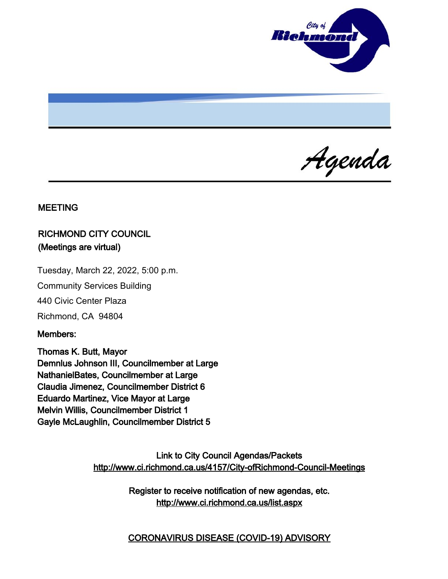

Agenda

### MEETING

# RICHMOND CITY COUNCIL (Meetings are virtual)

Tuesday, March 22, 2022, 5:00 p.m.

Community Services Building

440 Civic Center Plaza

Richmond, CA 94804

#### Members:

Thomas K. Butt, Mayor Demnlus Johnson III, Councilmember at Large NathanielBates, Councilmember at Large Claudia Jimenez, Councilmember District 6 Eduardo Martinez, Vice Mayor at Large Melvin Willis, Councilmember District 1 Gayle McLaughlin, Councilmember District 5

> Link to City Council Agendas/Packets <http://www.ci.richmond.ca.us/4157/City-ofRichmond-Council-Meetings>

> > Register to receive notification of new agendas, etc. <http://www.ci.richmond.ca.us/list.aspx>

> > CORONAVIRUS DISEASE (COVID-19) ADVISORY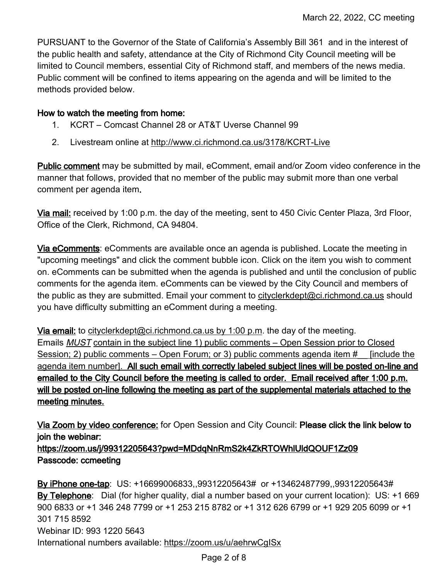PURSUANT to the Governor of the State of California's Assembly Bill 361 and in the interest of the public health and safety, attendance at the City of Richmond City Council meeting will be limited to Council members, essential City of Richmond staff, and members of the news media. Public comment will be confined to items appearing on the agenda and will be limited to the methods provided below.

#### How to watch the meeting from home:

- 1. KCRT Comcast Channel 28 or AT&T Uverse Channel 99
- 2. Livestream online at <http://www.ci.richmond.ca.us/3178/KCRT-Live>

Public comment may be submitted by mail, eComment, email and/or Zoom video conference in the manner that follows, provided that no member of the public may submit more than one verbal comment per agenda item.

Via mail: received by 1:00 p.m. the day of the meeting, sent to 450 Civic Center Plaza, 3rd Floor, Office of the Clerk, Richmond, CA 94804.

Via eComments: eComments are available once an agenda is published. Locate the meeting in "upcoming meetings" and click the comment bubble icon. Click on the item you wish to comment on. eComments can be submitted when the agenda is published and until the conclusion of public comments for the agenda item. eComments can be viewed by the City Council and members of the public as they are submitted. Email your comment to [cityclerkdept@ci.richmond.ca.us](mailto:cityclerkdept@ci.richmond.ca.us) should you have difficulty submitting an eComment during a meeting.

Via email: to [cityclerkdept@ci.richmond.ca.us](mailto:cityclerkdept@ci.richmond.ca.us) by 1:00 p.m. the day of the meeting. Emails MUST contain in the subject line 1) public comments – Open Session prior to Closed Session; 2) public comments – Open Forum; or 3) public comments agenda item # [include the agenda item number]. All such email with correctly labeled subject lines will be posted on-line and emailed to the City Council before the meeting is called to order. Email received after 1:00 p.m. will be posted on-line following the meeting as part of the supplemental materials attached to the meeting minutes.

Via Zoom by video conference: for Open Session and City Council: Please click the link below to join the webinar:

https://zoom.us/j/99312205643?pwd=MDdqNnRmS2k4ZkRTOWhlUldQOUF1Zz09 Passcode: ccmeeting

By iPhone one-tap: US: +16699006833,,99312205643# or +13462487799,,99312205643# By Telephone: Dial (for higher quality, dial a number based on your current location): US: +1 669 900 6833 or +1 346 248 7799 or +1 253 215 8782 or +1 312 626 6799 or +1 929 205 6099 or +1 301 715 8592 Webinar ID: 993 1220 5643 International numbers available: <https://zoom.us/u/aehrwCgISx>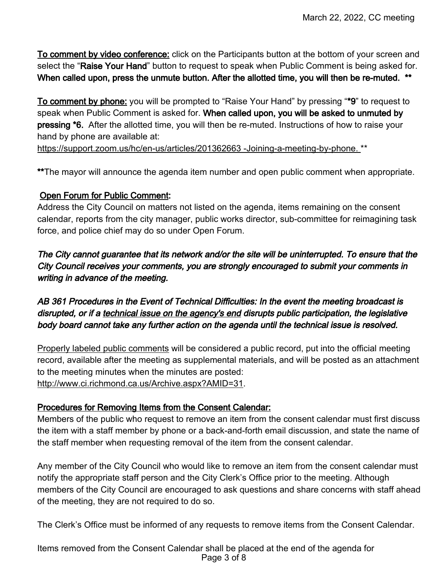To comment by video conference: click on the Participants button at the bottom of your screen and select the "Raise Your Hand" button to request to speak when Public Comment is being asked for. When called upon, press the unmute button. After the allotted time, you will then be re-muted. \*\*

To comment by phone: you will be prompted to "Raise Your Hand" by pressing "\*9" to request to speak when Public Comment is asked for. When called upon, you will be asked to unmuted by pressing \*6. After the allotted time, you will then be re-muted. Instructions of how to raise your hand by phone are available at:

[https://support.zoom.us/hc/en-us/articles/201362663 -Joining-a-meeting-by-phone.](https://support.zoom.us/hc/en-us/articles/201362663%20-Joining-a-meeting-by-phone.) \*\*

\*\*The mayor will announce the agenda item number and open public comment when appropriate.

## Open Forum for Public Comment:

Address the City Council on matters not listed on the agenda, items remaining on the consent calendar, reports from the city manager, public works director, sub-committee for reimagining task force, and police chief may do so under Open Forum.

The City cannot guarantee that its network and/or the site will be uninterrupted. To ensure that the City Council receives your comments, you are strongly encouraged to submit your comments in writing in advance of the meeting.

AB 361 Procedures in the Event of Technical Difficulties: In the event the meeting broadcast is disrupted, or if a technical issue on the agency's end disrupts public participation, the legislative body board cannot take any further action on the agenda until the technical issue is resolved.

Properly labeled public comments will be considered a public record, put into the official meeting record, available after the meeting as supplemental materials, and will be posted as an attachment to the meeting minutes when the minutes are posted: [http://www.ci.richmond.ca.us/Archive.aspx?AMID=31.](http://www.ci.richmond.ca.us/Archive.aspx?AMID=31)

## Procedures for Removing Items from the Consent Calendar:

Members of the public who request to remove an item from the consent calendar must first discuss the item with a staff member by phone or a back-and-forth email discussion, and state the name of the staff member when requesting removal of the item from the consent calendar.

Any member of the City Council who would like to remove an item from the consent calendar must notify the appropriate staff person and the City Clerk's Office prior to the meeting. Although members of the City Council are encouraged to ask questions and share concerns with staff ahead of the meeting, they are not required to do so.

The Clerk's Office must be informed of any requests to remove items from the Consent Calendar.

Items removed from the Consent Calendar shall be placed at the end of the agenda for Page 3 of 8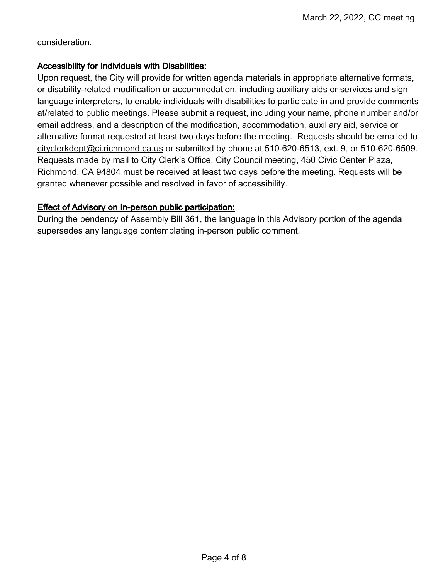consideration.

### Accessibility for Individuals with Disabilities:

Upon request, the City will provide for written agenda materials in appropriate alternative formats, or disability-related modification or accommodation, including auxiliary aids or services and sign language interpreters, to enable individuals with disabilities to participate in and provide comments at/related to public meetings. Please submit a request, including your name, phone number and/or email address, and a description of the modification, accommodation, auxiliary aid, service or alternative format requested at least two days before the meeting. Requests should be emailed to [cityclerkdept@ci.richmond.ca.us](mailto:cityclerkdept@ci.richmond.ca.us) or submitted by phone at 510-620-6513, ext. 9, or 510-620-6509. Requests made by mail to City Clerk's Office, City Council meeting, 450 Civic Center Plaza, Richmond, CA 94804 must be received at least two days before the meeting. Requests will be granted whenever possible and resolved in favor of accessibility.

## Effect of Advisory on In-person public participation:

During the pendency of Assembly Bill 361, the language in this Advisory portion of the agenda supersedes any language contemplating in-person public comment.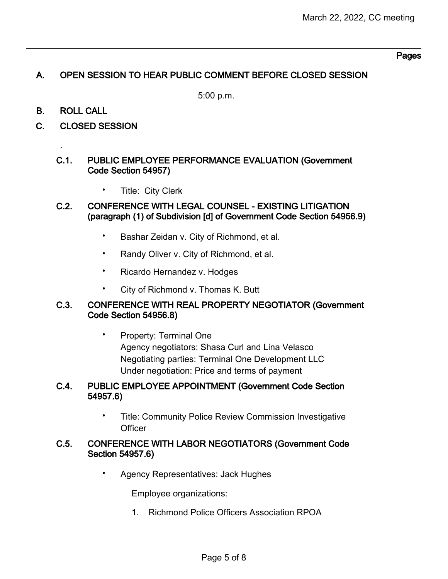### Pages

## A. OPEN SESSION TO HEAR PUBLIC COMMENT BEFORE CLOSED SESSION

5:00 p.m.

B. ROLL CALL

.

C. CLOSED SESSION

#### C.1. PUBLIC EMPLOYEE PERFORMANCE EVALUATION (Government Code Section 54957)

- Title: City Clerk
- C.2. CONFERENCE WITH LEGAL COUNSEL EXISTING LITIGATION (paragraph (1) of Subdivision [d] of Government Code Section 54956.9)
	- Bashar Zeidan v. City of Richmond, et al.
	- Randy Oliver v. City of Richmond, et al.
	- Ricardo Hernandez v. Hodges
	- City of Richmond v. Thomas K. Butt

### C.3. CONFERENCE WITH REAL PROPERTY NEGOTIATOR (Government Code Section 54956.8)

• Property: Terminal One Agency negotiators: Shasa Curl and Lina Velasco Negotiating parties: Terminal One Development LLC Under negotiation: Price and terms of payment

### C.4. PUBLIC EMPLOYEE APPOINTMENT (Government Code Section 54957.6)

• Title: Community Police Review Commission Investigative **Officer** 

#### C.5. CONFERENCE WITH LABOR NEGOTIATORS (Government Code Section 54957.6)

• Agency Representatives: Jack Hughes

Employee organizations:

1. Richmond Police Officers Association RPOA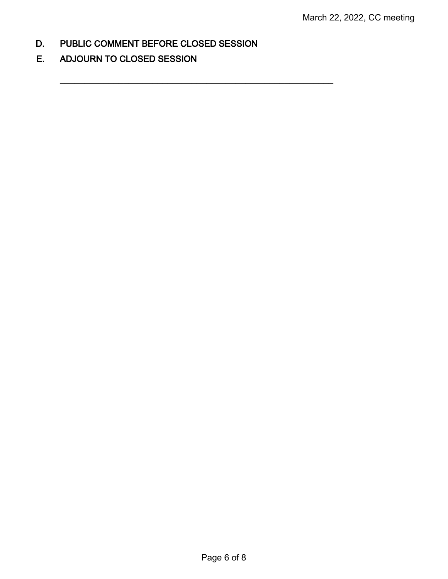D. PUBLIC COMMENT BEFORE CLOSED SESSION

 $\mathcal{L}_\text{max}$  , and the contract of the contract of the contract of the contract of the contract of the contract of the contract of the contract of the contract of the contract of the contract of the contract of the contr

E. ADJOURN TO CLOSED SESSION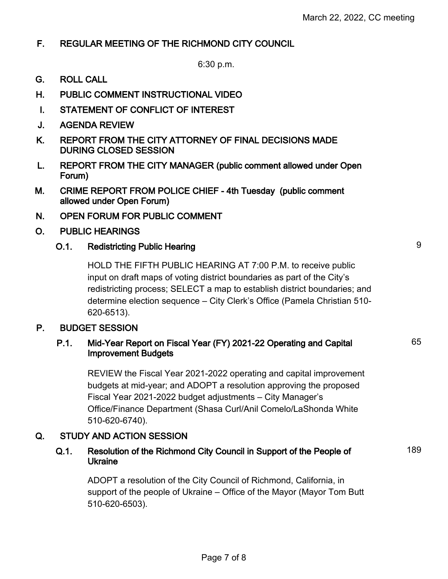65

189

# F. REGULAR MEETING OF THE RICHMOND CITY COUNCIL

6:30 p.m.

- G. ROLL CALL
- H. PUBLIC COMMENT INSTRUCTIONAL VIDEO
- I. STATEMENT OF CONFLICT OF INTEREST
- J. AGENDA REVIEW
- K. REPORT FROM THE CITY ATTORNEY OF FINAL DECISIONS MADE DURING CLOSED SESSION
- L. REPORT FROM THE CITY MANAGER (public comment allowed under Open Forum)
- M. CRIME REPORT FROM POLICE CHIEF 4th Tuesday (public comment allowed under Open Forum)
- N. OPEN FORUM FOR PUBLIC COMMENT
- O. PUBLIC HEARINGS

# O.1. Redistricting Public Hearing 9

HOLD THE FIFTH PUBLIC HEARING AT 7:00 P.M. to receive public input on draft maps of voting district boundaries as part of the City's redistricting process; SELECT a map to establish district boundaries; and determine election sequence – City Clerk's Office (Pamela Christian 510- 620-6513).

## P. BUDGET SESSION

## P.1. Mid-Year Report on Fiscal Year (FY) 2021-22 Operating and Capital Improvement Budgets

REVIEW the Fiscal Year 2021-2022 operating and capital improvement budgets at mid-year; and ADOPT a resolution approving the proposed Fiscal Year 2021-2022 budget adjustments – City Manager's Office/Finance Department (Shasa Curl/Anil Comelo/LaShonda White 510-620-6740).

## Q. STUDY AND ACTION SESSION

## Q.1. Resolution of the Richmond City Council in Support of the People of Ukraine

ADOPT a resolution of the City Council of Richmond, California, in support of the people of Ukraine – Office of the Mayor (Mayor Tom Butt 510-620-6503).